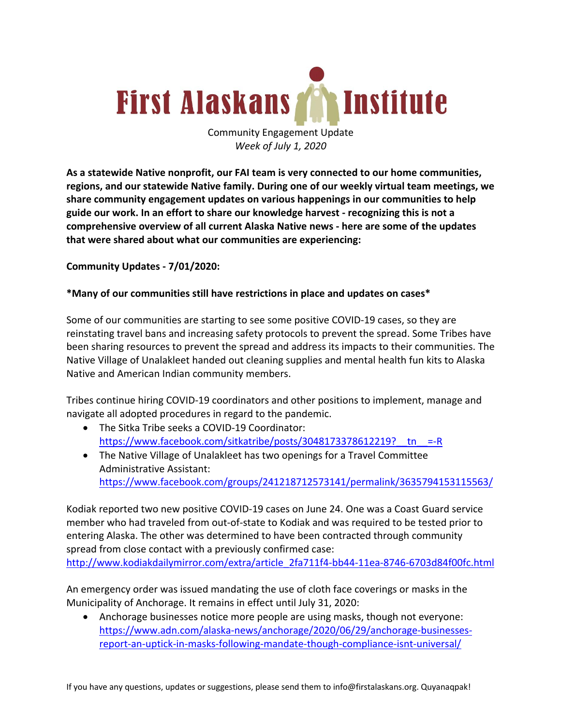

Community Engagement Update *Week of July 1, 2020*

**As a statewide Native nonprofit, our FAI team is very connected to our home communities, regions, and our statewide Native family. During one of our weekly virtual team meetings, we share community engagement updates on various happenings in our communities to help guide our work. In an effort to share our knowledge harvest - recognizing this is not a comprehensive overview of all current Alaska Native news - here are some of the updates that were shared about what our communities are experiencing:**

**Community Updates - 7/01/2020:**

## **\*Many of our communities still have restrictions in place and updates on cases\***

Some of our communities are starting to see some positive COVID-19 cases, so they are reinstating travel bans and increasing safety protocols to prevent the spread. Some Tribes have been sharing resources to prevent the spread and address its impacts to their communities. The Native Village of Unalakleet handed out cleaning supplies and mental health fun kits to Alaska Native and American Indian community members.

Tribes continue hiring COVID-19 coordinators and other positions to implement, manage and navigate all adopted procedures in regard to the pandemic.

- The Sitka Tribe seeks a COVID-19 Coordinator: https://www.facebook.com/sitkatribe/posts/3048173378612219?\_tn\_\_=-R
- The Native Village of Unalakleet has two openings for a Travel Committee Administrative Assistant: https://www.facebook.com/groups/241218712573141/permalink/3635794153115563/

Kodiak reported two new positive COVID-19 cases on June 24. One was a Coast Guard service member who had traveled from out-of-state to Kodiak and was required to be tested prior to entering Alaska. The other was determined to have been contracted through community spread from close contact with a previously confirmed case: http://www.kodiakdailymirror.com/extra/article\_2fa711f4-bb44-11ea-8746-6703d84f00fc.html

An emergency order was issued mandating the use of cloth face coverings or masks in the Municipality of Anchorage. It remains in effect until July 31, 2020:

• Anchorage businesses notice more people are using masks, though not everyone: https://www.adn.com/alaska-news/anchorage/2020/06/29/anchorage-businessesreport-an-uptick-in-masks-following-mandate-though-compliance-isnt-universal/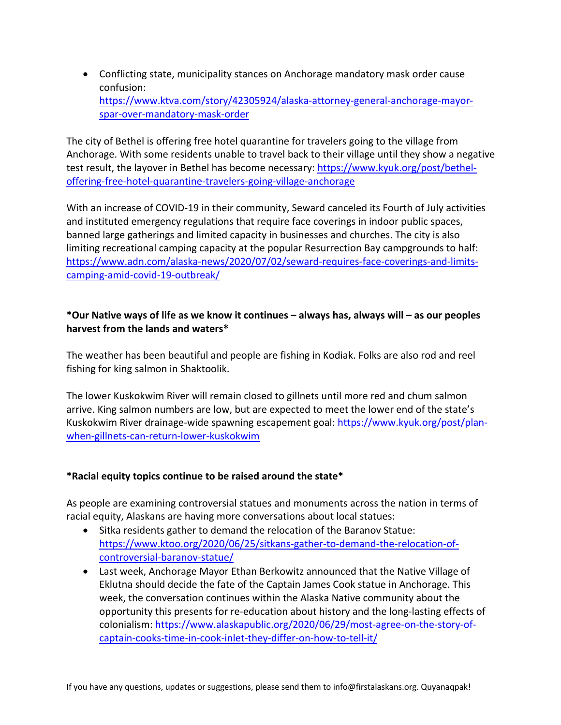• Conflicting state, municipality stances on Anchorage mandatory mask order cause confusion: https://www.ktva.com/story/42305924/alaska-attorney-general-anchorage-mayorspar-over-mandatory-mask-order

The city of Bethel is offering free hotel quarantine for travelers going to the village from Anchorage. With some residents unable to travel back to their village until they show a negative test result, the layover in Bethel has become necessary: https://www.kyuk.org/post/betheloffering-free-hotel-quarantine-travelers-going-village-anchorage

With an increase of COVID-19 in their community, Seward canceled its Fourth of July activities and instituted emergency regulations that require face coverings in indoor public spaces, banned large gatherings and limited capacity in businesses and churches. The city is also limiting recreational camping capacity at the popular Resurrection Bay campgrounds to half: https://www.adn.com/alaska-news/2020/07/02/seward-requires-face-coverings-and-limitscamping-amid-covid-19-outbreak/

## **\*Our Native ways of life as we know it continues – always has, always will – as our peoples harvest from the lands and waters\***

The weather has been beautiful and people are fishing in Kodiak. Folks are also rod and reel fishing for king salmon in Shaktoolik.

The lower Kuskokwim River will remain closed to gillnets until more red and chum salmon arrive. King salmon numbers are low, but are expected to meet the lower end of the state's Kuskokwim River drainage-wide spawning escapement goal: https://www.kyuk.org/post/planwhen-gillnets-can-return-lower-kuskokwim

## **\*Racial equity topics continue to be raised around the state\***

As people are examining controversial statues and monuments across the nation in terms of racial equity, Alaskans are having more conversations about local statues:

- Sitka residents gather to demand the relocation of the Baranov Statue: https://www.ktoo.org/2020/06/25/sitkans-gather-to-demand-the-relocation-ofcontroversial-baranov-statue/
- Last week, Anchorage Mayor Ethan Berkowitz announced that the Native Village of Eklutna should decide the fate of the Captain James Cook statue in Anchorage. This week, the conversation continues within the Alaska Native community about the opportunity this presents for re-education about history and the long-lasting effects of colonialism: https://www.alaskapublic.org/2020/06/29/most-agree-on-the-story-ofcaptain-cooks-time-in-cook-inlet-they-differ-on-how-to-tell-it/